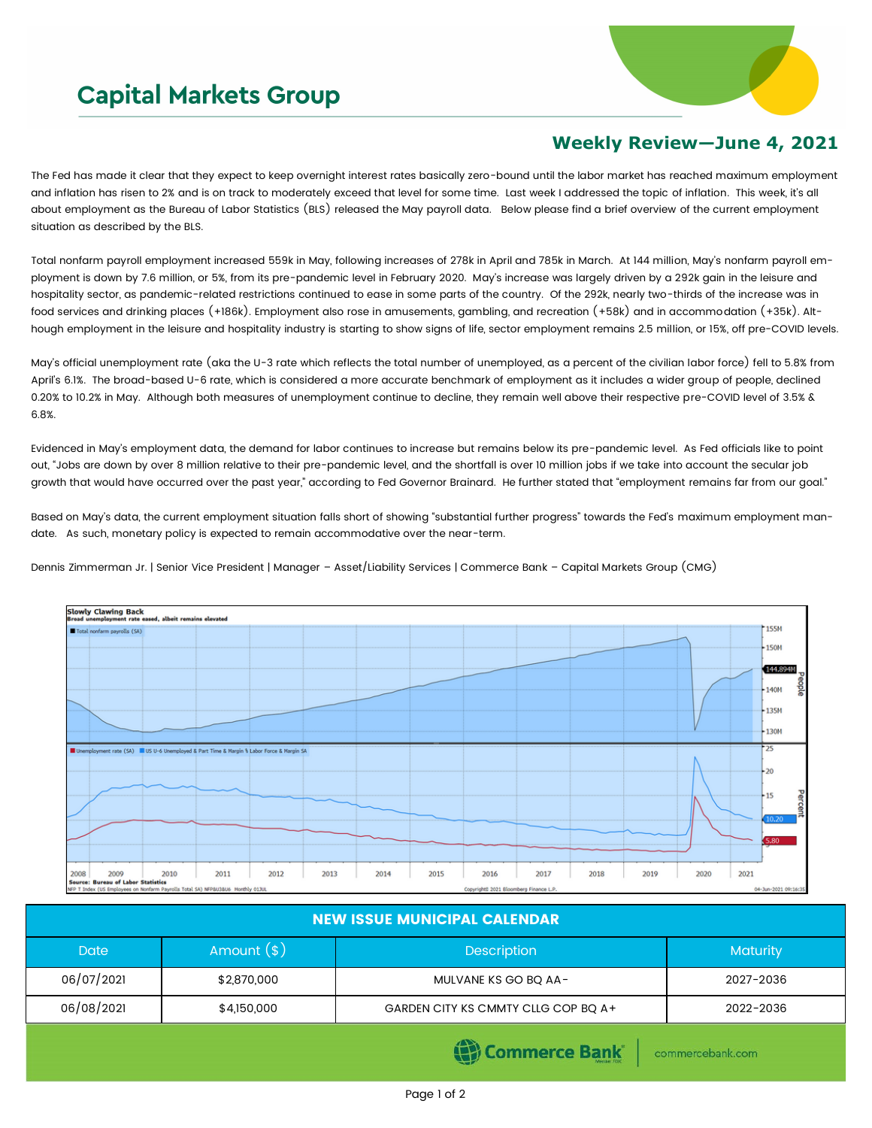## **Capital Markets Group**



## **Weekly Review—June 4, 2021**

The Fed has made it clear that they expect to keep overnight interest rates basically zero-bound until the labor market has reached maximum employment and inflation has risen to 2% and is on track to moderately exceed that level for some time. Last week I addressed the topic of inflation. This week, it's all about employment as the Bureau of Labor Statistics (BLS) released the May payroll data. Below please find a brief overview of the current employment situation as described by the BLS.

Total nonfarm payroll employment increased 559k in May, following increases of 278k in April and 785k in March. At 144 million, May's nonfarm payroll employment is down by 7.6 million, or 5%, from its pre-pandemic level in February 2020. May's increase was largely driven by a 292k gain in the leisure and hospitality sector, as pandemic-related restrictions continued to ease in some parts of the country. Of the 292k, nearly two-thirds of the increase was in food services and drinking places (+186k). Employment also rose in amusements, gambling, and recreation (+58k) and in accommodation (+35k). Although employment in the leisure and hospitality industry is starting to show signs of life, sector employment remains 2.5 million, or 15%, off pre-COVID levels.

May's official unemployment rate (aka the U-3 rate which reflects the total number of unemployed, as a percent of the civilian labor force) fell to 5.8% from April's 6.1%. The broad-based U-6 rate, which is considered a more accurate benchmark of employment as it includes a wider group of people, declined 0.20% to 10.2% in May. Although both measures of unemployment continue to decline, they remain well above their respective pre-COVID level of 3.5% & 6.8%.

Evidenced in May's employment data, the demand for labor continues to increase but remains below its pre-pandemic level. As Fed officials like to point out, "Jobs are down by over 8 million relative to their pre-pandemic level, and the shortfall is over 10 million jobs if we take into account the secular job growth that would have occurred over the past year," according to Fed Governor Brainard. He further stated that "employment remains far from our goal."

Based on May's data, the current employment situation falls short of showing "substantial further progress" towards the Fed's maximum employment mandate. As such, monetary policy is expected to remain accommodative over the near-term.

Dennis Zimmerman Jr. | Senior Vice President | Manager – Asset/Liability Services | Commerce Bank – Capital Markets Group (CMG)



| <b>NEW ISSUE MUNICIPAL CALENDAR</b> |              |                                     |                 |  |  |  |  |
|-------------------------------------|--------------|-------------------------------------|-----------------|--|--|--|--|
| <b>Date</b>                         | Amount $(*)$ | <b>Description</b>                  | <b>Maturity</b> |  |  |  |  |
| 06/07/2021                          | \$2,870,000  | MULVANE KS GO BO AA-                | 2027-2036       |  |  |  |  |
| 06/08/2021                          | \$4,150,000  | GARDEN CITY KS CMMTY CLLG COP BQ A+ | 2022-2036       |  |  |  |  |

Commerce Bank

commercebank.com